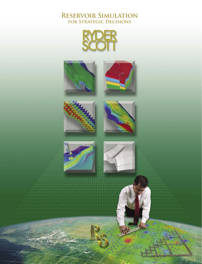#### **Reservoir Simulation for Strategic Decisions**

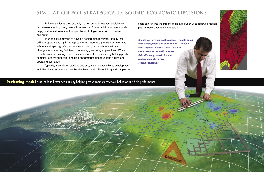#### **Reviewing model** runs leads to better decisions by helping predict complex reservoir behavior and field performance.

 $M8S2$ 



 E&P companies are increasingly making better investment decisions for field development by using reservoir simulation. These built-for-purpose models help you devise development or operational strategies to maximize recovery and profit.

Your objective may be to develop behind-pipe reserves, identify infilldrilling opportunities, optimize a pressure maintenance program or determine efficient well spacing. Or you may have other goals, such as evaluating changes to processing facilities or improving gas-storage operations. Whatever the case, reviewing model runs leads to better decisions by helping predict complex reservoir behavior and field performance under various drilling and operating scenarios.

 Typically, a simulation study guides and, in some cases, limits development activities that cost far more than the simulation itself. Since drilling and completion

costs can run into the millions of dollars, Ryder Scott reservoir models pay for themselves again and again.

**Clients using Ryder Scott reservoir models avoid over-development and over-drilling. They put their projects on the fast track, capture more reserves per well, increase field efficiency, boost ultimate recoveries and improve overall economics.**

## **Simulation for Strategically Sound Economic Decisions**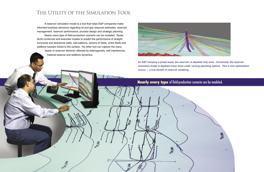#### **Nearly every type** of field-production scenario can be modeled.

**CALCON** 

*ន្ត្រី* 



## **The Utility of the Simulation Tool**

 A reservoir simulation model is a tool that helps E&P companies make informed business decisions regarding oil and gas reserves estimates, reservoir management, reservoir performance, process design and strategic planning.

 Nearly every type of field-production scenario can be modeled. Ryder Scott constructs and executes models to predict the performance of straight, horizontal and directional wells, well patterns, sectors of fields, entire fields and wellbore tubulars linked to the surface. No other tool can capture the many facets of reservoir behavior affected by heterogeneity, well interference, material balance and wellbore dynamics.

-33.00

 $\mathcal{O}_{\mathcal{O}_{\mathcal{A}}}$ 



**An E&P company's prized asset, the reservoir, is depleted only once. Conversely, the reservoir simulation model is depleted many times under varying operating options. This is how optimization occurs — a true benefit of reservoir modeling.**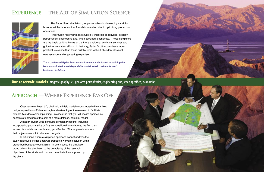## **Experience — the Art of Simulation Science**



### **Approach — Where Experience Pays Off**

 The Ryder Scott simulation group specializes in developing carefully history-matched models that furnish information vital to optimizing production operations.

 Ryder Scott reservoir models typically integrate geophysics, geology, petrophysics, engineering and, when specified, economics. Those disciplines are the basic building blocks of the firm's traditional analytical services and guide the simulation efforts. In that way, Ryder Scott models have more practical relevance than those built by firms without abundant classical earth-science and engineering expertise.

**The experienced Ryder Scott simulation team is dedicated to building the least complicated, most dependable model to help make informed business decisions.** 

**Our reservoir models** integrate geophysics, geology, petrophysics, engineering and, when specified, economics.

 Often a streamlined, 3D, black-oil, full-field model—constructed within a fixed budget—provides sufficient enough understanding of the reservoir to facilitate detailed field-development planning. In cases like that, you will realize appreciable benefits at a fraction of the cost of a more detailed, complex model.

 Although Ryder Scott conducts complex modeling, including incorporating geostatistics or fully compositional formulations, the firm tries to keep its models uncomplicated, yet effective. That approach ensures that projects stay within allocated budgets.

 In situations where a simplified approach cannot address the study objectives, Ryder Scott will propose a workable solution within prescribed budgetary constraints. In every case, the simulation group tailors the simulation to the complexity of the reservoir, objectives of the study and cost and time limitations imposed by the client.

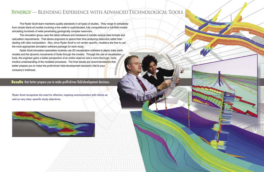#### **Results** that better prepare you to make profit-driven field-development decisions.

## **Synergy—Blending Experience with AdvancedTechnological Tools**

 The Ryder Scott team maintains quality standards in all types of studies. They range in complexity from simple black-oil models involving a few wells to sophisticated, fully compositional or full-field models simulating hundreds of wells penetrating geologically complex reservoirs.

 The simulation group uses the latest software and hardware to handle various data formats and calculation requirements. That allows engineers to spend their time analyzing reservoirs rather than dealing with data manipulation. Also, since Ryder Scott is not vendor specific, modelers are free to use the most appropriate simulation software package for each study.

 Ryder Scott simulation specialists routinely use 3D visualization software to depict static earth models and the dynamic movements of fluids through the models. Through the use of visualization tools, the engineer gains a better perspective of an entire reservoir and a more thorough, more intuitive understanding of the modeled processes. The final results are recommendations that better prepare you to make the profit-driven field-development decisions vital to your company's livelihood.

**Ryder Scott recognizes the need for effective, ongoing communication with clients as well as very clear, specific study objectives.**



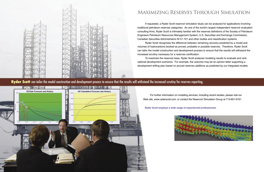

# **Maximizing Reserves Through Simulation**

 For further information on modeling services, including recent studies, please visit our Web site, www.ryderscott.com, or contact the Reservoir Simulation Group at 713-651-9191.

**Ryder Scott employs a wide range of experienced professionals.** 



 If requested, a Ryder Scott reservoir simulation study can be analyzed for applications involving traditional petroleum reserves categories. As one of the world's largest independent reservoir evaluation consulting firms, Ryder Scott is intimately familiar with the reserves definitions of the Society of Petroleum Engineers Petroleum Resources Management System, U.S. Securities and Exchange Commission, Canadian Securities Administrators NI 51-101 and other bodies and classification systems.

 Ryder Scott recognizes the difference between remaining recovery predicted by a model and volumes of hydrocarbons booked as proved, probable or possible reserves. Therefore, Ryder Scott can tailor the model construction and development process to ensure that the results will withstand the increased scrutiny necessary for a reserves certification.

 To maximize the reserves base, Ryder Scott analyzes modeling results to evaluate and rank optional development scenarios. For example, the outcome may be an opinion letter supporting a development drilling plan based on proved reserves additions as predicted by our integrated models.

Ryder Scott can tailor the model construction and development process to ensure that the results will withstand the increased scrutiny for reserves reporting.